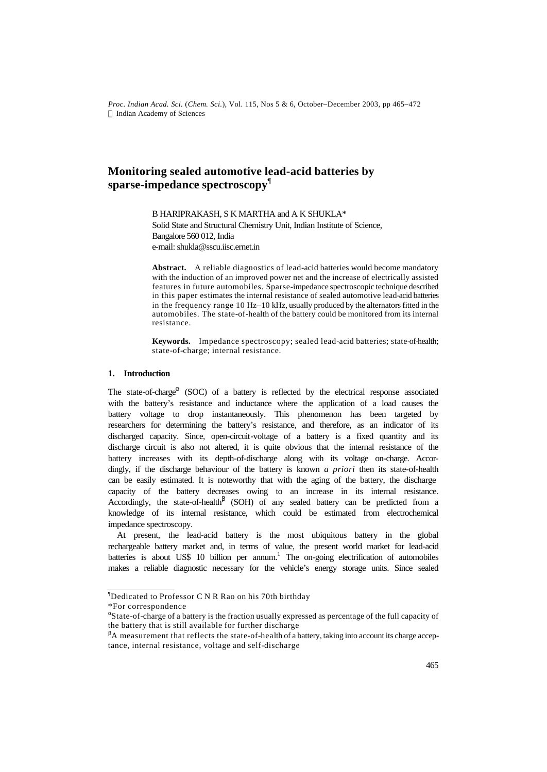*Proc. Indian Acad. Sci.* (*Chem. Sci.*), Vol. 115, Nos 5 & 6, October–December 2003, pp 465–472  $©$  Indian Academy of Sciences

# **Monitoring sealed automotive lead-acid batteries by sparse-impedance spectroscopy**¶

B HARIPRAKASH, S K MARTHA and A K SHUKLA\* Solid State and Structural Chemistry Unit, Indian Institute of Science, Bangalore 560 012, India e-mail: shukla@sscu.iisc.ernet.in

**Abstract.** A reliable diagnostics of lead-acid batteries would become mandatory with the induction of an improved power net and the increase of electrically assisted features in future automobiles. Sparse-impedance spectroscopic technique described in this paper estimates the internal resistance of sealed automotive lead-acid batteries in the frequency range 10 Hz–10 kHz, usually produced by the alternators fitted in the automobiles. The state-of-health of the battery could be monitored from its internal resistance.

**Keywords.** Impedance spectroscopy; sealed lead-acid batteries; state-of-health; state-of-charge; internal resistance.

#### **1. Introduction**

The state-of-charge<sup> $\alpha$ </sup> (SOC) of a battery is reflected by the electrical response associated with the battery's resistance and inductance where the application of a load causes the battery voltage to drop instantaneously. This phenomenon has been targeted by researchers for determining the battery's resistance, and therefore, as an indicator of its discharged capacity. Since, open-circuit-voltage of a battery is a fixed quantity and its discharge circuit is also not altered, it is quite obvious that the internal resistance of the battery increases with its depth-of-discharge along with its voltage on-charge. Accordingly, if the discharge behaviour of the battery is known *a priori* then its state-of-health can be easily estimated. It is noteworthy that with the aging of the battery, the discharge capacity of the battery decreases owing to an increase in its internal resistance. Accordingly, the state-of-health<sup> $\beta$ </sup> (SOH) of any sealed battery can be predicted from a knowledge of its internal resistance, which could be estimated from electrochemical impedance spectroscopy.

At present, the lead-acid battery is the most ubiquitous battery in the global rechargeable battery market and, in terms of value, the present world market for lead-acid batteries is about US\$ 10 billion per annum.<sup>1</sup> The on-going electrification of automobiles makes a reliable diagnostic necessary for the vehicle's energy storage units. Since sealed

\*For correspondence

<sup>¶</sup>Dedicated to Professor C N R Rao on his 70th birthday

<sup>α</sup>State-of-charge of a battery is the fraction usually expressed as percentage of the full capacity of the battery that is still available for further discharge

 $<sup>β</sup>A$  measurement that reflects the state-of-health of a battery, taking into account its charge accep-</sup> tance, internal resistance, voltage and self-discharge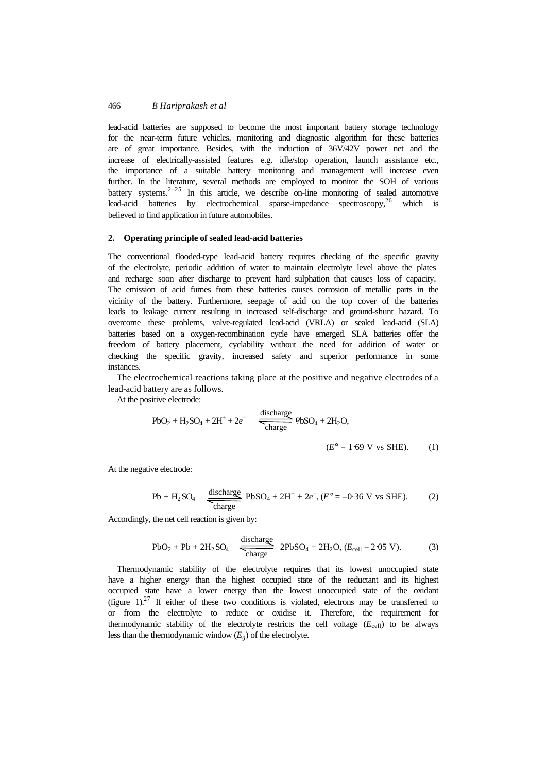lead-acid batteries are supposed to become the most important battery storage technology for the near-term future vehicles, monitoring and diagnostic algorithm for these batteries are of great importance. Besides, with the induction of 36V/42V power net and the increase of electrically-assisted features e.g. idle/stop operation, launch assistance etc., the importance of a suitable battery monitoring and management will increase even further. In the literature, several methods are employed to monitor the SOH of various battery systems. $2-25$  In this article, we describe on-line monitoring of sealed automotive lead-acid batteries by electrochemical sparse-impedance spectroscopy, which is believed to find application in future automobiles.

#### **2. Operating principle of sealed lead-acid batteries**

The conventional flooded-type lead-acid battery requires checking of the specific gravity of the electrolyte, periodic addition of water to maintain electrolyte level above the plates and recharge soon after discharge to prevent hard sulphation that causes loss of capacity. The emission of acid fumes from these batteries causes corrosion of metallic parts in the vicinity of the battery. Furthermore, seepage of acid on the top cover of the batteries leads to leakage current resulting in increased self-discharge and ground-shunt hazard. To overcome these problems, valve-regulated lead-acid (VRLA) or sealed lead-acid (SLA) batteries based on a oxygen-recombination cycle have emerged. SLA batteries offer the freedom of battery placement, cyclability without the need for addition of water or checking the specific gravity, increased safety and superior performance in some instances.

The electrochemical reactions taking place at the positive and negative electrodes of a lead-acid battery are as follows.

At the positive electrode:

$$
PbO2 + H2SO4 + 2H+ + 2e- \xrightarrow{\text{discharge}} PbSO4 + 2H2O,
$$
  
\n
$$
(Eo = 1.69 \text{ V vs SHE}).
$$
 (1)

At the negative electrode:

$$
Pb + H_2SO_4 \quad \underset{\text{charge}}{\underbrace{\text{discharge}}} \quad PbSO_4 + 2H^+ + 2e^-, (E^\circ = -0.36 \text{ V vs SHE}). \tag{2}
$$

Accordingly, the net cell reaction is given by:

$$
PbO_2 + Pb + 2H_2SO_4 \quad \frac{\text{discharge}}{\text{charge}} \quad 2PbSO_4 + 2H_2O, \ (E_{cell} = 2.05 \text{ V}). \tag{3}
$$

Thermodynamic stability of the electrolyte requires that its lowest unoccupied state have a higher energy than the highest occupied state of the reductant and its highest occupied state have a lower energy than the lowest unoccupied state of the oxidant (figure 1).<sup>27</sup> If either of these two conditions is violated, electrons may be transferred to or from the electrolyte to reduce or oxidise it. Therefore, the requirement for thermodynamic stability of the electrolyte restricts the cell voltage  $(E_{cell})$  to be always less than the thermodynamic window  $(E_g)$  of the electrolyte.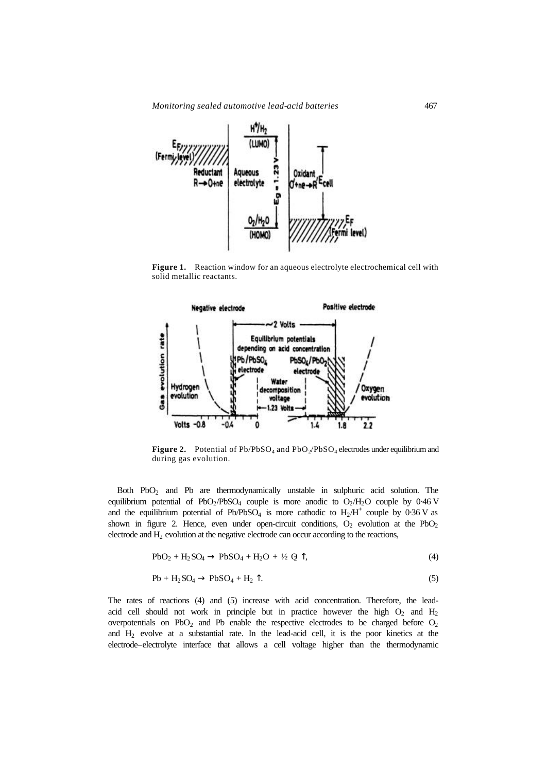

**Figure 1.** Reaction window for an aqueous electrolyte electrochemical cell with solid metallic reactants.



**Figure 2.** Potential of  $Pb/PbSO_4$  and  $PbO_2/PbSO_4$  electrodes under equilibrium and during gas evolution.

Both PbO2 and Pb are thermodynamically unstable in sulphuric acid solution. The equilibrium potential of PbO<sub>2</sub>/PbSO<sub>4</sub> couple is more anodic to O<sub>2</sub>/H<sub>2</sub>O couple by 0⋅46 V and the equilibrium potential of Pb/PbSO<sub>4</sub> is more cathodic to  $H_2/H^+$  couple by 0⋅36 V as shown in figure 2. Hence, even under open-circuit conditions,  $O_2$  evolution at the PbO<sub>2</sub> electrode and H<sub>2</sub> evolution at the negative electrode can occur according to the reactions,

$$
PbO_2 + H_2SO_4 \rightarrow PbSO_4 + H_2O + \frac{1}{2}Q \uparrow,
$$
\n<sup>(4)</sup>

$$
Pb + H_2SO_4 \to PbSO_4 + H_2 \uparrow.
$$
 (5)

The rates of reactions (4) and (5) increase with acid concentration. Therefore, the leadacid cell should not work in principle but in practice however the high  $O_2$  and  $H_2$ overpotentials on  $PbO<sub>2</sub>$  and  $Pb$  enable the respective electrodes to be charged before  $O<sub>2</sub>$ and H2 evolve at a substantial rate. In the lead-acid cell, it is the poor kinetics at the electrode–electrolyte interface that allows a cell voltage higher than the thermodynamic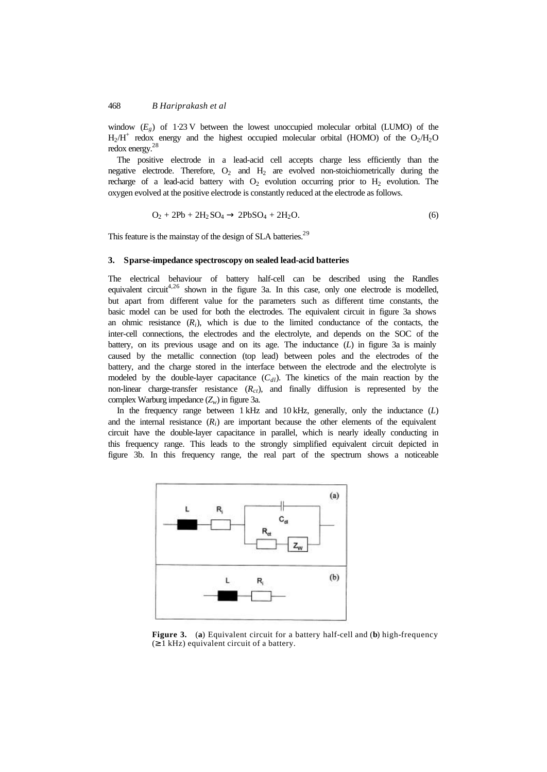window  $(E_e)$  of 1⋅23 V between the lowest unoccupied molecular orbital (LUMO) of the  $H_2/H^+$  redox energy and the highest occupied molecular orbital (HOMO) of the O<sub>2</sub>/H<sub>2</sub>O redox energy.<sup>28</sup>

The positive electrode in a lead-acid cell accepts charge less efficiently than the negative electrode. Therefore,  $O_2$  and  $H_2$  are evolved non-stoichiometrically during the recharge of a lead-acid battery with  $O_2$  evolution occurring prior to  $H_2$  evolution. The oxygen evolved at the positive electrode is constantly reduced at the electrode as follows.

$$
O2 + 2Pb + 2H2SO4 \rightarrow 2PbSO4 + 2H2O.
$$
\n(6)

This feature is the mainstay of the design of SLA batteries.<sup>29</sup>

#### **3. Sparse-impedance spectroscopy on sealed lead-acid batteries**

The electrical behaviour of battery half-cell can be described using the Randles equivalent circuit<sup>4,26</sup> shown in the figure 3a. In this case, only one electrode is modelled, but apart from different value for the parameters such as different time constants, the basic model can be used for both the electrodes. The equivalent circuit in figure 3a shows an ohmic resistance  $(R_i)$ , which is due to the limited conductance of the contacts, the inter-cell connections, the electrodes and the electrolyte, and depends on the SOC of the battery, on its previous usage and on its age. The inductance (*L*) in figure 3a is mainly caused by the metallic connection (top lead) between poles and the electrodes of the battery, and the charge stored in the interface between the electrode and the electrolyte is modeled by the double-layer capacitance  $(C_{d_l})$ . The kinetics of the main reaction by the non-linear charge-transfer resistance (*Rct*), and finally diffusion is represented by the complex Warburg impedance (*Zw*) in figure 3a.

In the frequency range between 1 kHz and 10 kHz, generally, only the inductance (*L*) and the internal resistance  $(R_i)$  are important because the other elements of the equivalent circuit have the double-layer capacitance in parallel, which is nearly ideally conducting in this frequency range. This leads to the strongly simplified equivalent circuit depicted in figure 3b. In this frequency range, the real part of the spectrum shows a noticeable



**Figure 3.** (**a**) Equivalent circuit for a battery half-cell and (**b**) high-frequency  $(≥ 1 kHz)$  equivalent circuit of a battery.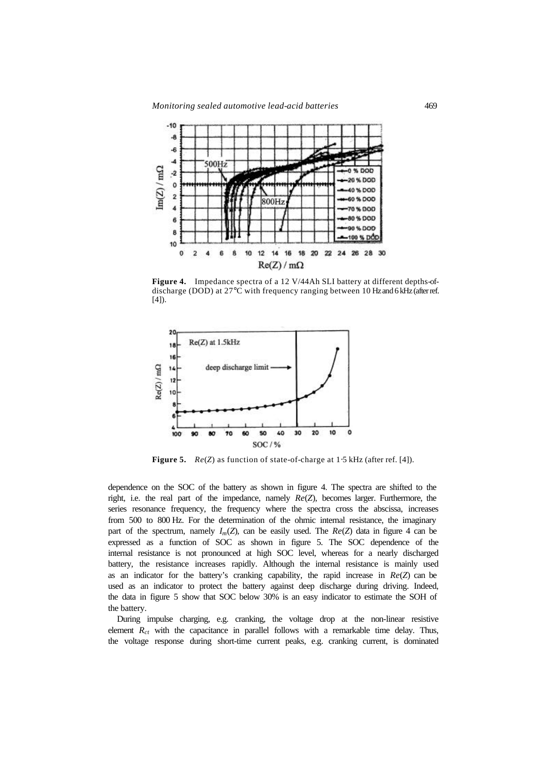

**Figure 4.** Impedance spectra of a 12 V/44Ah SLI battery at different depths-ofdischarge (DOD) at  $27^{\circ}$ C with frequency ranging between 10 Hz and 6 kHz (after ref. [4]).



**Figure 5.** *Re*(*Z*) as function of state-of-charge at 1⋅5 kHz (after ref. [4]).

dependence on the SOC of the battery as shown in figure 4. The spectra are shifted to the right, i.e. the real part of the impedance, namely  $Re(Z)$ , becomes larger. Furthermore, the series resonance frequency, the frequency where the spectra cross the abscissa, increases from 500 to 800 Hz. For the determination of the ohmic internal resistance, the imaginary part of the spectrum, namely  $I_m(Z)$ , can be easily used. The  $Re(Z)$  data in figure 4 can be expressed as a function of SOC as shown in figure 5. The SOC dependence of the internal resistance is not pronounced at high SOC level, whereas for a nearly discharged battery, the resistance increases rapidly. Although the internal resistance is mainly used as an indicator for the battery's cranking capability, the rapid increase in *Re*(*Z*) can be used as an indicator to protect the battery against deep discharge during driving. Indeed, the data in figure 5 show that SOC below 30% is an easy indicator to estimate the SOH of the battery.

During impulse charging, e.g. cranking, the voltage drop at the non-linear resistive element *Rct* with the capacitance in parallel follows with a remarkable time delay. Thus, the voltage response during short-time current peaks, e.g. cranking current, is dominated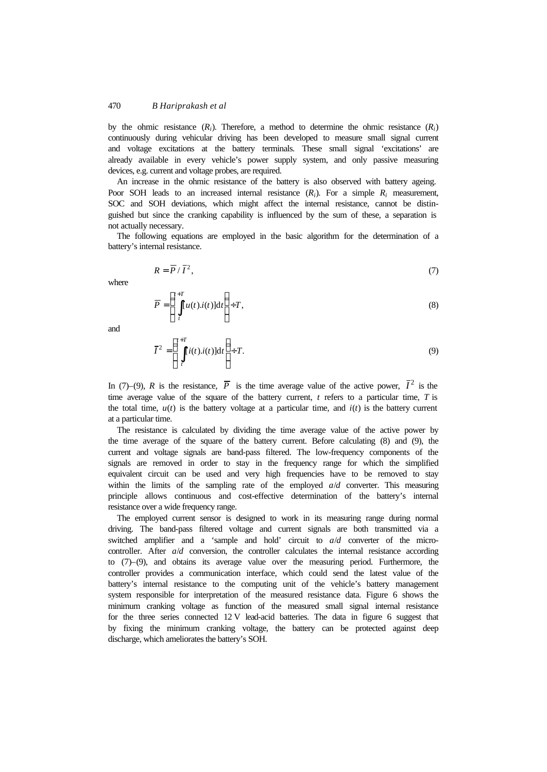by the ohmic resistance  $(R_i)$ . Therefore, a method to determine the ohmic resistance  $(R_i)$ continuously during vehicular driving has been developed to measure small signal current and voltage excitations at the battery terminals. These small signal 'excitations' are already available in every vehicle's power supply system, and only passive measuring devices, e.g. current and voltage probes, are required.

An increase in the ohmic resistance of the battery is also observed with battery ageing. Poor SOH leads to an increased internal resistance  $(R_i)$ . For a simple  $R_i$  measurement, SOC and SOH deviations, which might affect the internal resistance, cannot be distinguished but since the cranking capability is influenced by the sum of these, a separation is not actually necessary.

The following equations are employed in the basic algorithm for the determination of a battery's internal resistance.

$$
R = \overline{P}/\overline{I}^2,\tag{7}
$$

where

$$
\overline{P} = \left(\int_{t}^{t+T} [u(t).i(t)]dt\right) \div T,
$$
\n(8)

and

$$
\overline{I}^2 = \left(\int_t^{t+T} [i(t).i(t)]dt\right) + T.
$$
\n(9)

In (7)–(9), *R* is the resistance,  $\overline{P}$  is the time average value of the active power,  $\overline{I}^2$  is the time average value of the square of the battery current, *t* refers to a particular time, *T* is the total time,  $u(t)$  is the battery voltage at a particular time, and  $i(t)$  is the battery current at a particular time.

The resistance is calculated by dividing the time average value of the active power by the time average of the square of the battery current. Before calculating (8) and (9), the current and voltage signals are band-pass filtered. The low-frequency components of the signals are removed in order to stay in the frequency range for which the simplified equivalent circuit can be used and very high frequencies have to be removed to stay within the limits of the sampling rate of the employed *a*/*d* converter. This measuring principle allows continuous and cost-effective determination of the battery's internal resistance over a wide frequency range.

The employed current sensor is designed to work in its measuring range during normal driving. The band-pass filtered voltage and current signals are both transmitted via a switched amplifier and a 'sample and hold' circuit to *a*/*d* converter of the microcontroller. After  $a/d$  conversion, the controller calculates the internal resistance according to (7)–(9), and obtains its average value over the measuring period. Furthermore, the controller provides a communication interface, which could send the latest value of the battery's internal resistance to the computing unit of the vehicle's battery management system responsible for interpretation of the measured resistance data. Figure 6 shows the minimum cranking voltage as function of the measured small signal internal resistance for the three series connected 12 V lead-acid batteries. The data in figure 6 suggest that by fixing the minimum cranking voltage, the battery can be protected against deep discharge, which ameliorates the battery's SOH.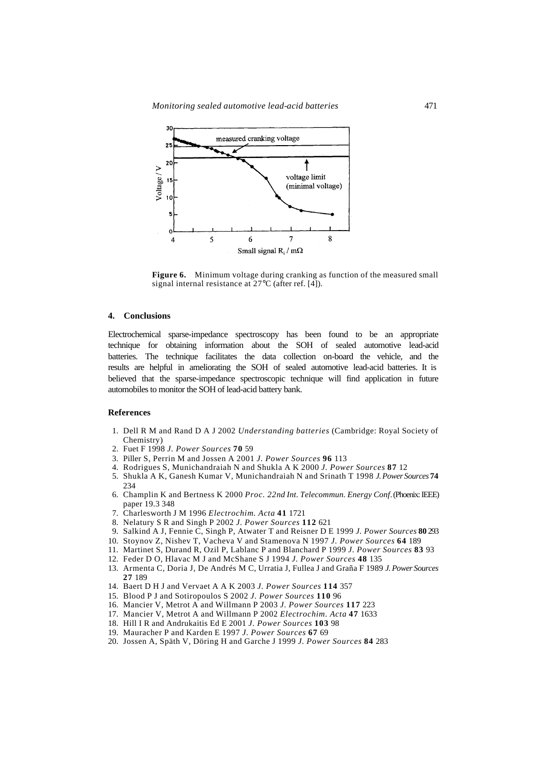

**Figure 6.** Minimum voltage during cranking as function of the measured small signal internal resistance at 27°C (after ref. [4]).

#### **4. Conclusions**

Electrochemical sparse-impedance spectroscopy has been found to be an appropriate technique for obtaining information about the SOH of sealed automotive lead-acid batteries. The technique facilitates the data collection on-board the vehicle, and the results are helpful in ameliorating the SOH of sealed automotive lead-acid batteries. It is believed that the sparse-impedance spectroscopic technique will find application in future automobiles to monitor the SOH of lead-acid battery bank.

#### **References**

- 1. Dell R M and Rand D A J 2002 *Understanding batteries* (Cambridge: Royal Society of Chemistry)
- 2. Fuet F 1998 *J. Power Sources* **70** 59
- 3. Piller S, Perrin M and Jossen A 2001 *J. Power Sources* **96** 113
- 4. Rodrigues S, Munichandraiah N and Shukla A K 2000 *J. Power Sources* **87** 12
- 5. Shukla A K, Ganesh Kumar V, Munichandraiah N and Srinath T 1998 *J. Power Sources* **74** 234
- 6. Champlin K and Bertness K 2000 *Proc. 22nd Int. Telecommun. Energy Conf*. (Phoenix: IEEE) paper 19.3 348
- 7. Charlesworth J M 1996 *Electrochim. Acta* **41** 1721
- 8. Nelatury S R and Singh P 2002 *J. Power Sources* **112** 621
- 9. Salkind A J, Fennie C, Singh P, Atwater T and Reisner D E 1999 *J. Power Sources* **80** 293
- 10. Stoynov Z, Nishev T, Vacheva V and Stamenova N 1997 *J. Power Sources* **64** 189
- 11. Martinet S, Durand R, Ozil P, Lablanc P and Blanchard P 1999 *J. Power Sources* **83** 93
- 12. Feder D O, Hlavac M J and McShane S J 1994 *J. Power Sources* **48** 135
- 13. Armenta C, Doria J, De Andrés M C, Urratia J, Fullea J and Graña F 1989 *J. Power Sources* **27** 189
- 14. Baert D H J and Vervaet A A K 2003 *J. Power Sources* **114** 357
- 15. Blood P J and Sotiropoulos S 2002 *J. Power Sources* **110** 96
- 16. Mancier V, Metrot A and Willmann P 2003 *J. Power Sources* **117** 223
- 17. Mancier V, Metrot A and Willmann P 2002 *Electrochim. Acta* **47** 1633
- 18. Hill I R and Andrukaitis Ed E 2001 *J. Power Sources* **103** 98
- 19. Mauracher P and Karden E 1997 *J. Power Sources* **67** 69
- 20. Jossen A, Späth V, Döring H and Garche J 1999 *J. Power Sources* **84** 283